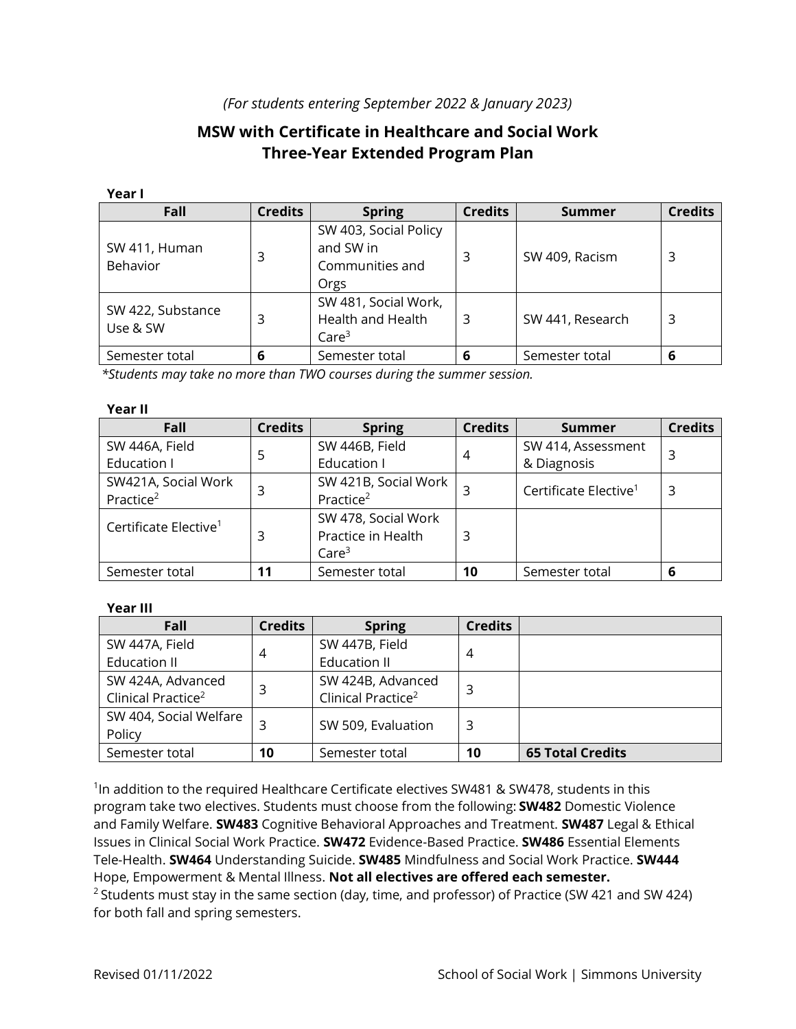## *(For students entering September 2022 & January 2023)*

# **MSW with Certificate in Healthcare and Social Work Three-Year Extended Program Plan**

#### **Year I**

| Fall                             | <b>Credits</b> | <b>Spring</b>                                                         | <b>Credits</b> | Summer           | <b>Credits</b> |
|----------------------------------|----------------|-----------------------------------------------------------------------|----------------|------------------|----------------|
| SW 411, Human<br><b>Behavior</b> | 3              | SW 403, Social Policy<br>and SW in<br>Communities and<br>Orgs         | 3              | SW 409, Racism   | 3              |
| SW 422, Substance<br>Use & SW    | 3              | SW 481, Social Work,<br><b>Health and Health</b><br>Care <sup>3</sup> | 3              | SW 441, Research | 3              |
| Semester total                   | 6              | Semester total                                                        | 6              | Semester total   | 6              |

 *\*Students may take no more than TWO courses during the summer session.*

#### **Year II**

| Fall                                         | <b>Credits</b> | <b>Spring</b>                                                  | <b>Credits</b> | <b>Summer</b>                     | <b>Credits</b> |
|----------------------------------------------|----------------|----------------------------------------------------------------|----------------|-----------------------------------|----------------|
| SW 446A, Field                               | 5              | SW 446B, Field                                                 | $\overline{4}$ | SW 414, Assessment                |                |
| Education I                                  |                | Education I                                                    |                | & Diagnosis                       | 3              |
| SW421A, Social Work<br>Practice <sup>2</sup> |                | SW 421B, Social Work<br>Practice <sup>2</sup>                  |                | Certificate Elective <sup>1</sup> | 3              |
| Certificate Elective <sup>1</sup>            | 3              | SW 478, Social Work<br>Practice in Health<br>Care <sup>3</sup> | 3              |                                   |                |
| Semester total                               | 11             | Semester total                                                 | 10             | Semester total                    | 6              |

#### **Year III**

| Fall                           | <b>Credits</b> | <b>Spring</b>                  | <b>Credits</b> |                         |  |
|--------------------------------|----------------|--------------------------------|----------------|-------------------------|--|
| SW 447A, Field                 | 4              | SW 447B, Field                 | 4              |                         |  |
| <b>Education II</b>            |                | <b>Education II</b>            |                |                         |  |
| SW 424A, Advanced              | 3              | SW 424B, Advanced              | 3              |                         |  |
| Clinical Practice <sup>2</sup> |                | Clinical Practice <sup>2</sup> |                |                         |  |
| SW 404, Social Welfare         |                |                                |                |                         |  |
| Policy                         |                | SW 509, Evaluation             | 3              |                         |  |
| Semester total                 | 10             | Semester total                 | 10             | <b>65 Total Credits</b> |  |

<sup>1</sup>In addition to the required Healthcare Certificate electives SW481 & SW478, students in this program take two electives. Students must choose from the following: **SW482** Domestic Violence and Family Welfare. **SW483** Cognitive Behavioral Approaches and Treatment. **SW487** Legal & Ethical Issues in Clinical Social Work Practice. **SW472** Evidence-Based Practice. **SW486** Essential Elements Tele-Health. **SW464** Understanding Suicide. **SW485** Mindfulness and Social Work Practice. **SW444**  Hope, Empowerment & Mental Illness. **Not all electives are offered each semester.**  $2$  Students must stay in the same section (day, time, and professor) of Practice (SW 421 and SW 424) for both fall and spring semesters.